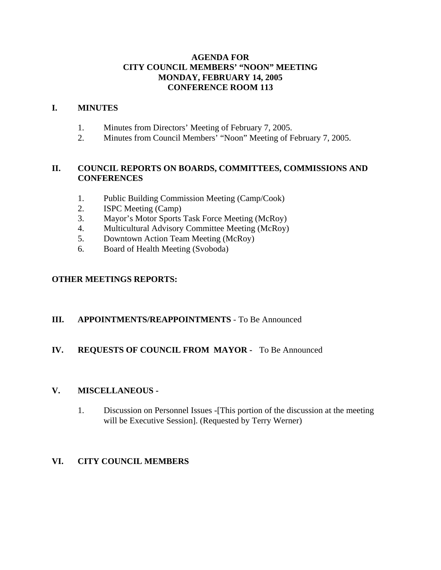### **AGENDA FOR CITY COUNCIL MEMBERS' "NOON" MEETING MONDAY, FEBRUARY 14, 2005 CONFERENCE ROOM 113**

### **I. MINUTES**

- 1. Minutes from Directors' Meeting of February 7, 2005.
- 2. Minutes from Council Members' "Noon" Meeting of February 7, 2005.

### **II. COUNCIL REPORTS ON BOARDS, COMMITTEES, COMMISSIONS AND CONFERENCES**

- 1. Public Building Commission Meeting (Camp/Cook)
- 2. ISPC Meeting (Camp)
- 3. Mayor's Motor Sports Task Force Meeting (McRoy)
- 4. Multicultural Advisory Committee Meeting (McRoy)
- 5. Downtown Action Team Meeting (McRoy)
- 6. Board of Health Meeting (Svoboda)

### **OTHER MEETINGS REPORTS:**

### **III. APPOINTMENTS/REAPPOINTMENTS** - To Be Announced

### **IV. REQUESTS OF COUNCIL FROM MAYOR -** To Be Announced

#### **V. MISCELLANEOUS -**

1. Discussion on Personnel Issues -[This portion of the discussion at the meeting will be Executive Session]. (Requested by Terry Werner)

### **VI. CITY COUNCIL MEMBERS**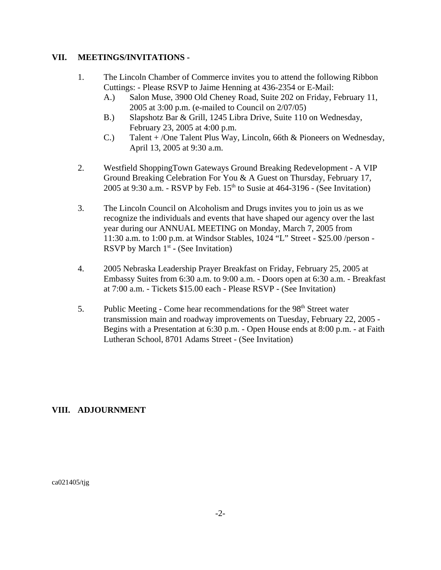### **VII. MEETINGS/INVITATIONS -**

- 1. The Lincoln Chamber of Commerce invites you to attend the following Ribbon Cuttings: - Please RSVP to Jaime Henning at 436-2354 or E-Mail:
	- A.) Salon Muse, 3900 Old Cheney Road, Suite 202 on Friday, February 11, 2005 at 3:00 p.m. (e-mailed to Council on 2/07/05)
	- B.) Slapshotz Bar & Grill, 1245 Libra Drive, Suite 110 on Wednesday, February 23, 2005 at 4:00 p.m.
	- C.) Talent + /One Talent Plus Way, Lincoln, 66th & Pioneers on Wednesday, April 13, 2005 at 9:30 a.m.
- 2. Westfield ShoppingTown Gateways Ground Breaking Redevelopment A VIP Ground Breaking Celebration For You & A Guest on Thursday, February 17, 2005 at 9:30 a.m. - RSVP by Feb.  $15<sup>th</sup>$  to Susie at 464-3196 - (See Invitation)
- 3. The Lincoln Council on Alcoholism and Drugs invites you to join us as we recognize the individuals and events that have shaped our agency over the last year during our ANNUAL MEETING on Monday, March 7, 2005 from 11:30 a.m. to 1:00 p.m. at Windsor Stables, 1024 "L" Street - \$25.00 /person - RSVP by March 1<sup>st</sup> - (See Invitation)
- 4. 2005 Nebraska Leadership Prayer Breakfast on Friday, February 25, 2005 at Embassy Suites from 6:30 a.m. to 9:00 a.m. - Doors open at 6:30 a.m. - Breakfast at 7:00 a.m. - Tickets \$15.00 each - Please RSVP - (See Invitation)
- 5. Public Meeting Come hear recommendations for the  $98<sup>th</sup>$  Street water transmission main and roadway improvements on Tuesday, February 22, 2005 - Begins with a Presentation at 6:30 p.m. - Open House ends at 8:00 p.m. - at Faith Lutheran School, 8701 Adams Street - (See Invitation)

### **VIII. ADJOURNMENT**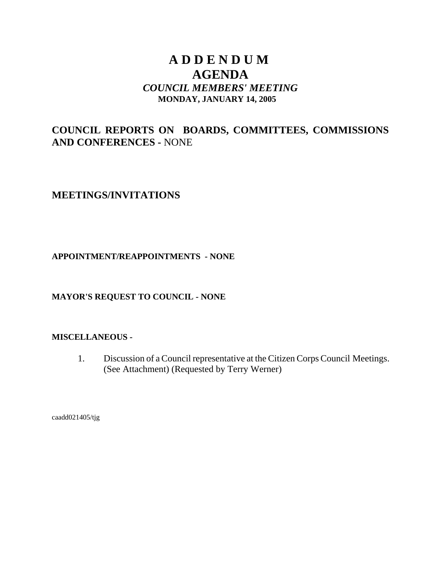# **A D D E N D U M AGENDA** *COUNCIL MEMBERS' MEETING* **MONDAY, JANUARY 14, 2005**

# **COUNCIL REPORTS ON BOARDS, COMMITTEES, COMMISSIONS AND CONFERENCES -** NONE

**MEETINGS/INVITATIONS** 

# **APPOINTMENT/REAPPOINTMENTS - NONE**

# **MAYOR'S REQUEST TO COUNCIL - NONE**

### **MISCELLANEOUS -**

1. Discussion of a Council representative at the Citizen Corps Council Meetings. (See Attachment) (Requested by Terry Werner)

caadd021405/tjg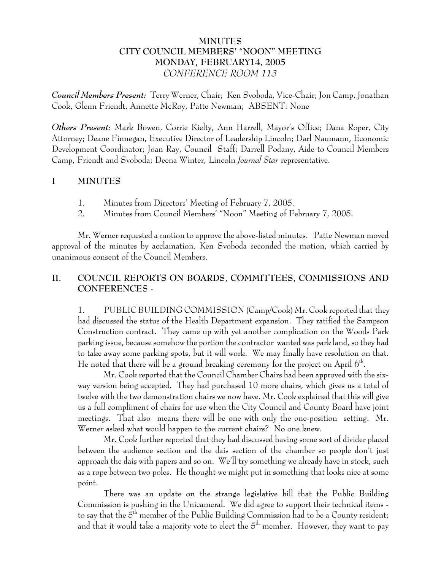# **MINUTES CITY COUNCIL MEMBERS' "NOON" MEETING MONDAY, FEBRUARY14, 2005** *CONFERENCE ROOM 113*

*Council Members Present:* Terry Werner, Chair; Ken Svoboda, Vice-Chair; Jon Camp, Jonathan Cook, Glenn Friendt, Annette McRoy, Patte Newman; ABSENT: None

*Others Present:* Mark Bowen, Corrie Kielty, Ann Harrell, Mayor's Office; Dana Roper, City Attorney; Deane Finnegan, Executive Director of Leadership Lincoln; Darl Naumann, Economic Development Coordinator; Joan Ray, Council Staff; Darrell Podany, Aide to Council Members Camp, Friendt and Svoboda; Deena Winter, Lincoln *Journal Star* representative.

# **I MINUTES**

- 1. Minutes from Directors' Meeting of February 7, 2005.
- 2. Minutes from Council Members' "Noon" Meeting of February 7, 2005.

Mr. Werner requested a motion to approve the above-listed minutes. Patte Newman moved approval of the minutes by acclamation. Ken Svoboda seconded the motion, which carried by unanimous consent of the Council Members.

# **II. COUNCIL REPORTS ON BOARDS, COMMITTEES, COMMISSIONS AND CONFERENCES -**

1. PUBLIC BUILDING COMMISSION (Camp/Cook) Mr. Cook reported that they had discussed the status of the Health Department expansion. They ratified the Sampson Construction contract. They came up with yet another complication on the Woods Park parking issue, because somehow the portion the contractor wanted was park land, so they had to take away some parking spots, but it will work. We may finally have resolution on that. He noted that there will be a ground breaking ceremony for the project on April  $6<sup>th</sup>$ .

Mr. Cook reported that the Council Chamber Chairs had been approved with the sixway version being accepted. They had purchased 10 more chairs, which gives us a total of twelve with the two demonstration chairs we now have. Mr. Cook explained that this will give us a full compliment of chairs for use when the City Council and County Board have joint meetings. That also means there will be one with only the one-position setting. Mr. Werner asked what would happen to the current chairs? No one knew.

Mr. Cook further reported that they had discussed having some sort of divider placed between the audience section and the dais section of the chamber so people don't just approach the dais with papers and so on. We'll try something we already have in stock, such as a rope between two poles. He thought we might put in something that looks nice at some point.

There was an update on the strange legislative bill that the Public Building Commission is pushing in the Unicameral. We did agree to support their technical items to say that the  $5^{\text{th}}$  member of the Public Building Commission had to be a County resident; and that it would take a majority vote to elect the  $5<sup>th</sup>$  member. However, they want to pay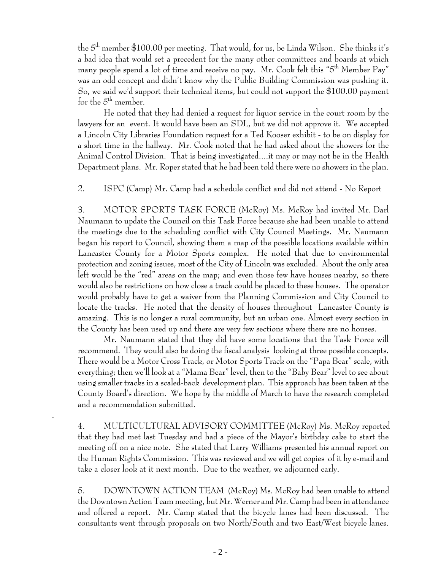the  $5<sup>th</sup>$  member \$100.00 per meeting. That would, for us, be Linda Wilson. She thinks it's a bad idea that would set a precedent for the many other committees and boards at which many people spend a lot of time and receive no pay. Mr. Cook felt this "5<sup>th</sup> Member Pay" was an odd concept and didn't know why the Public Building Commission was pushing it. So, we said we'd support their technical items, but could not support the \$100.00 payment for the  $5<sup>th</sup>$  member.

He noted that they had denied a request for liquor service in the court room by the lawyers for an event. It would have been an SDL, but we did not approve it. We accepted a Lincoln City Libraries Foundation request for a Ted Kooser exhibit - to be on display for a short time in the hallway. Mr. Cook noted that he had asked about the showers for the Animal Control Division. That is being investigated....it may or may not be in the Health Department plans. Mr. Roper stated that he had been told there were no showers in the plan.

2. ISPC (Camp) Mr. Camp had a schedule conflict and did not attend - No Report

3. MOTOR SPORTS TASK FORCE (McRoy) Ms. McRoy had invited Mr. Darl Naumann to update the Council on this Task Force because she had been unable to attend the meetings due to the scheduling conflict with City Council Meetings. Mr. Naumann began his report to Council, showing them a map of the possible locations available within Lancaster County for a Motor Sports complex. He noted that due to environmental protection and zoning issues, most of the City of Lincoln was excluded. About the only area left would be the "red" areas on the map; and even those few have houses nearby, so there would also be restrictions on how close a track could be placed to these houses. The operator would probably have to get a waiver from the Planning Commission and City Council to locate the tracks. He noted that the density of houses throughout Lancaster County is amazing. This is no longer a rural community, but an urban one. Almost every section in the County has been used up and there are very few sections where there are no houses.

Mr. Naumann stated that they did have some locations that the Task Force will recommend. They would also be doing the fiscal analysis looking at three possible concepts. There would be a Motor Cross Track, or Motor Sports Track on the "Papa Bear" scale, with everything; then we'll look at a "Mama Bear" level, then to the "Baby Bear" level to see about using smaller tracks in a scaled-back development plan. This approach has been taken at the County Board's direction. We hope by the middle of March to have the research completed and a recommendation submitted.

 4. MULTICULTURAL ADVISORY COMMITTEE (McRoy) Ms. McRoy reported that they had met last Tuesday and had a piece of the Mayor's birthday cake to start the meeting off on a nice note. She stated that Larry Williams presented his annual report on the Human Rights Commission. This was reviewed and we will get copies of it by e-mail and take a closer look at it next month. Due to the weather, we adjourned early.

.

5. DOWNTOWN ACTION TEAM (McRoy) Ms. McRoy had been unable to attend the Downtown Action Team meeting, but Mr. Werner and Mr. Camp had been in attendance and offered a report. Mr. Camp stated that the bicycle lanes had been discussed. The consultants went through proposals on two North/South and two East/West bicycle lanes.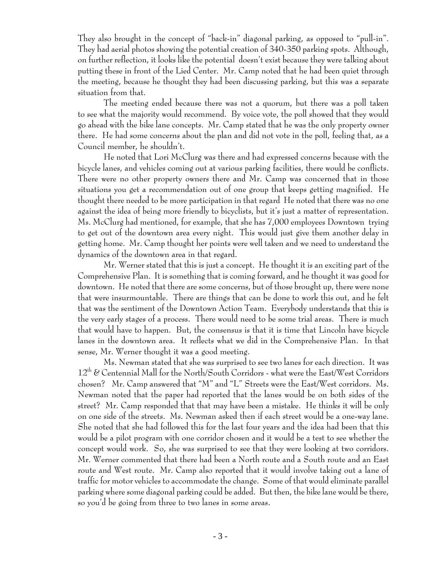They also brought in the concept of "back-in" diagonal parking, as opposed to "pull-in". They had aerial photos showing the potential creation of 340-350 parking spots. Although, on further reflection, it looks like the potential doesn't exist because they were talking about putting these in front of the Lied Center. Mr. Camp noted that he had been quiet through the meeting, because he thought they had been discussing parking, but this was a separate situation from that.

The meeting ended because there was not a quorum, but there was a poll taken to see what the majority would recommend. By voice vote, the poll showed that they would go ahead with the bike lane concepts. Mr. Camp stated that he was the only property owner there. He had some concerns about the plan and did not vote in the poll, feeling that, as a Council member, he shouldn't.

He noted that Lori McClurg was there and had expressed concerns because with the bicycle lanes, and vehicles coming out at various parking facilities, there would be conflicts. There were no other property owners there and Mr. Camp was concerned that in those situations you get a recommendation out of one group that keeps getting magnified. He thought there needed to be more participation in that regard He noted that there was no one against the idea of being more friendly to bicyclists, but it's just a matter of representation. Ms. McClurg had mentioned, for example, that she has 7,000 employees Downtown trying to get out of the downtown area every night. This would just give them another delay in getting home. Mr. Camp thought her points were well taken and we need to understand the dynamics of the downtown area in that regard.

Mr. Werner stated that this is just a concept. He thought it is an exciting part of the Comprehensive Plan. It is something that is coming forward, and he thought it was good for downtown. He noted that there are some concerns, but of those brought up, there were none that were insurmountable. There are things that can be done to work this out, and he felt that was the sentiment of the Downtown Action Team. Everybody understands that this is the very early stages of a process. There would need to be some trial areas. There is much that would have to happen. But, the consensus is that it is time that Lincoln have bicycle lanes in the downtown area. It reflects what we did in the Comprehensive Plan. In that sense, Mr. Werner thought it was a good meeting.

Ms. Newman stated that she was surprised to see two lanes for each direction. It was  $12<sup>th</sup>$  & Centennial Mall for the North/South Corridors - what were the East/West Corridors chosen? Mr. Camp answered that "M" and "L" Streets were the East/West corridors. Ms. Newman noted that the paper had reported that the lanes would be on both sides of the street? Mr. Camp responded that that may have been a mistake. He thinks it will be only on one side of the streets. Ms. Newman asked then if each street would be a one-way lane. She noted that she had followed this for the last four years and the idea had been that this would be a pilot program with one corridor chosen and it would be a test to see whether the concept would work. So, she was surprised to see that they were looking at two corridors. Mr. Werner commented that there had been a North route and a South route and an East route and West route. Mr. Camp also reported that it would involve taking out a lane of traffic for motor vehicles to accommodate the change. Some of that would eliminate parallel parking where some diagonal parking could be added. But then, the bike lane would be there, so you'd be going from three to two lanes in some areas.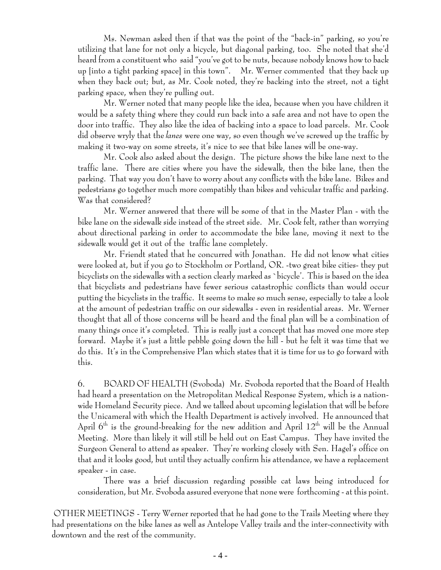Ms. Newman asked then if that was the point of the "back-in" parking, so you're utilizing that lane for not only a bicycle, but diagonal parking, too. She noted that she'd heard from a constituent who said "you've got to be nuts, because nobody knows how to back up [into a tight parking space] in this town". Mr. Werner commented that they back up when they back out; but, as Mr. Cook noted, they're backing into the street, not a tight parking space, when they're pulling out.

Mr. Werner noted that many people like the idea, because when you have children it would be a safety thing where they could run back into a safe area and not have to open the door into traffic. They also like the idea of backing into a space to load parcels. Mr. Cook did observe wryly that the *lanes* were one way, so even though we've screwed up the traffic by making it two-way on some streets, it's nice to see that bike lanes will be one-way.

Mr. Cook also asked about the design. The picture shows the bike lane next to the traffic lane. There are cities where you have the sidewalk, then the bike lane, then the parking. That way you don't have to worry about any conflicts with the bike lane. Bikes and pedestrians go together much more compatibly than bikes and vehicular traffic and parking. Was that considered?

Mr. Werner answered that there will be some of that in the Master Plan - with the bike lane on the sidewalk side instead of the street side. Mr. Cook felt, rather than worrying about directional parking in order to accommodate the bike lane, moving it next to the sidewalk would get it out of the traffic lane completely.

Mr. Friendt stated that he concurred with Jonathan. He did not know what cities were looked at, but if you go to Stockholm or Portland, OR. -two great bike cities- they put bicyclists on the sidewalks with a section clearly marked as `bicycle'. This is based on the idea that bicyclists and pedestrians have fewer serious catastrophic conflicts than would occur putting the bicyclists in the traffic. It seems to make so much sense, especially to take a look at the amount of pedestrian traffic on our sidewalks - even in residential areas. Mr. Werner thought that all of those concerns will be heard and the final plan will be a combination of many things once it's completed. This is really just a concept that has moved one more step forward. Maybe it's just a little pebble going down the hill - but he felt it was time that we do this. It's in the Comprehensive Plan which states that it is time for us to go forward with this.

6. BOARD OF HEALTH (Svoboda) Mr. Svoboda reported that the Board of Health had heard a presentation on the Metropolitan Medical Response System, which is a nationwide Homeland Security piece. And we talked about upcoming legislation that will be before the Unicameral with which the Health Department is actively involved. He announced that April  $6<sup>th</sup>$  is the ground-breaking for the new addition and April  $12<sup>th</sup>$  will be the Annual Meeting. More than likely it will still be held out on East Campus. They have invited the Surgeon General to attend as speaker. They're working closely with Sen. Hagel's office on that and it looks good, but until they actually confirm his attendance, we have a replacement speaker - in case.

There was a brief discussion regarding possible cat laws being introduced for consideration, but Mr. Svoboda assured everyone that none were forthcoming - at this point.

 OTHER MEETINGS - Terry Werner reported that he had gone to the Trails Meeting where they had presentations on the bike lanes as well as Antelope Valley trails and the inter-connectivity with downtown and the rest of the community.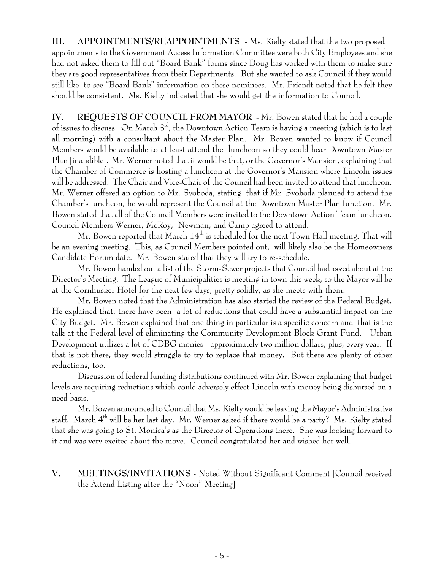**III. APPOINTMENTS/REAPPOINTMENTS** - Ms. Kielty stated that the two proposed appointments to the Government Access Information Committee were both City Employees and she had not asked them to fill out "Board Bank" forms since Doug has worked with them to make sure they are good representatives from their Departments. But she wanted to ask Council if they would still like to see "Board Bank" information on these nominees. Mr. Friendt noted that he felt they should be consistent. Ms. Kielty indicated that she would get the information to Council.

**IV. REQUESTS OF COUNCIL FROM MAYOR** - Mr. Bowen stated that he had a couple of issues to discuss. On March 3rd, the Downtown Action Team is having a meeting (which is to last all morning) with a consultant about the Master Plan. Mr. Bowen wanted to know if Council Members would be available to at least attend the luncheon so they could hear Downtown Master Plan [inaudible]. Mr. Werner noted that it would be that, or the Governor's Mansion, explaining that the Chamber of Commerce is hosting a luncheon at the Governor's Mansion where Lincoln issues will be addressed. The Chair and Vice-Chair of the Council had been invited to attend that luncheon. Mr. Werner offered an option to Mr. Svoboda, stating that if Mr. Svoboda planned to attend the Chamber's luncheon, he would represent the Council at the Downtown Master Plan function. Mr. Bowen stated that all of the Council Members were invited to the Downtown Action Team luncheon. Council Members Werner, McRoy, Newman, and Camp agreed to attend.

Mr. Bowen reported that March  $14<sup>th</sup>$  is scheduled for the next Town Hall meeting. That will be an evening meeting. This, as Council Members pointed out, will likely also be the Homeowners Candidate Forum date. Mr. Bowen stated that they will try to re-schedule.

Mr. Bowen handed out a list of the Storm-Sewer projects that Council had asked about at the Director's Meeting. The League of Municipalities is meeting in town this week, so the Mayor will be at the Cornhusker Hotel for the next few days, pretty solidly, as she meets with them.

Mr. Bowen noted that the Administration has also started the review of the Federal Budget. He explained that, there have been a lot of reductions that could have a substantial impact on the City Budget. Mr. Bowen explained that one thing in particular is a specific concern and that is the talk at the Federal level of eliminating the Community Development Block Grant Fund. Urban Development utilizes a lot of CDBG monies - approximately two million dollars, plus, every year. If that is not there, they would struggle to try to replace that money. But there are plenty of other reductions, too.

Discussion of federal funding distributions continued with Mr. Bowen explaining that budget levels are requiring reductions which could adversely effect Lincoln with money being disbursed on a need basis.

Mr. Bowen announced to Council that Ms. Kielty would be leaving the Mayor's Administrative staff. March 4th will be her last day. Mr. Werner asked if there would be a party? Ms. Kielty stated that she was going to St. Monica's as the Director of Operations there. She was looking forward to it and was very excited about the move. Council congratulated her and wished her well.

**V. MEETINGS/INVITATIONS** - Noted Without Significant Comment [Council received the Attend Listing after the "Noon" Meeting]